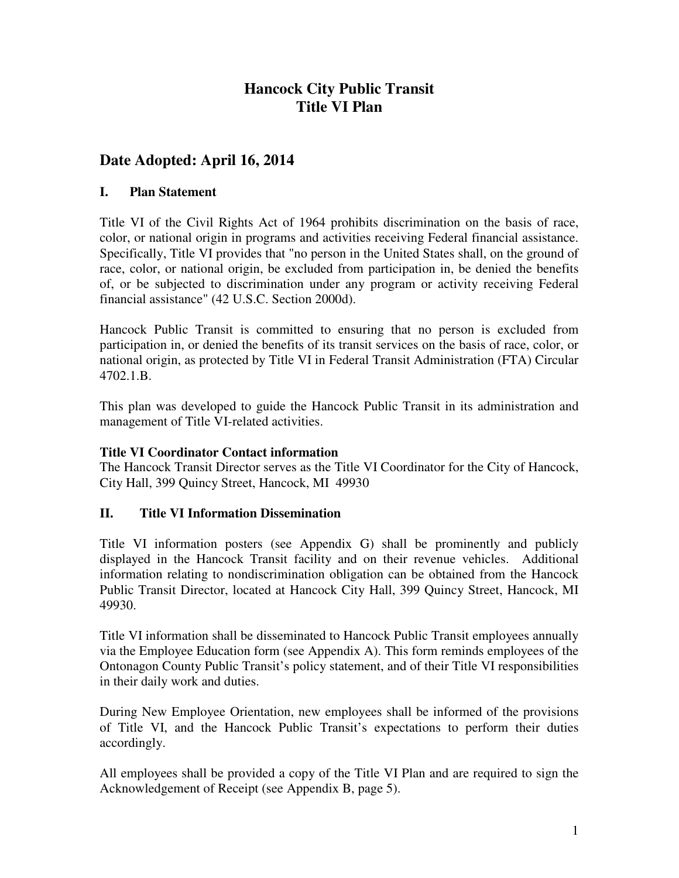# **Hancock City Public Transit Title VI Plan**

# **Date Adopted: April 16, 2014**

### **I. Plan Statement**

Title VI of the Civil Rights Act of 1964 prohibits discrimination on the basis of race, color, or national origin in programs and activities receiving Federal financial assistance. Specifically, Title VI provides that "no person in the United States shall, on the ground of race, color, or national origin, be excluded from participation in, be denied the benefits of, or be subjected to discrimination under any program or activity receiving Federal financial assistance" (42 U.S.C. Section 2000d).

Hancock Public Transit is committed to ensuring that no person is excluded from participation in, or denied the benefits of its transit services on the basis of race, color, or national origin, as protected by Title VI in Federal Transit Administration (FTA) Circular 4702.1.B.

This plan was developed to guide the Hancock Public Transit in its administration and management of Title VI-related activities.

### **Title VI Coordinator Contact information**

The Hancock Transit Director serves as the Title VI Coordinator for the City of Hancock, City Hall, 399 Quincy Street, Hancock, MI 49930

### **II. Title VI Information Dissemination**

Title VI information posters (see Appendix G) shall be prominently and publicly displayed in the Hancock Transit facility and on their revenue vehicles. Additional information relating to nondiscrimination obligation can be obtained from the Hancock Public Transit Director, located at Hancock City Hall, 399 Quincy Street, Hancock, MI 49930.

Title VI information shall be disseminated to Hancock Public Transit employees annually via the Employee Education form (see Appendix A). This form reminds employees of the Ontonagon County Public Transit's policy statement, and of their Title VI responsibilities in their daily work and duties.

During New Employee Orientation, new employees shall be informed of the provisions of Title VI, and the Hancock Public Transit's expectations to perform their duties accordingly.

All employees shall be provided a copy of the Title VI Plan and are required to sign the Acknowledgement of Receipt (see Appendix B, page 5).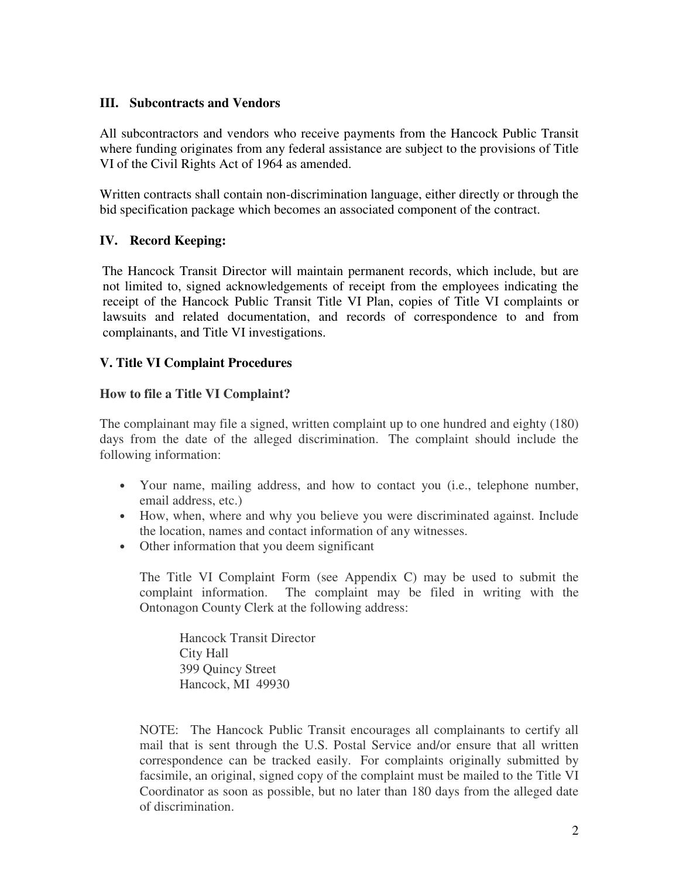### **III. Subcontracts and Vendors**

All subcontractors and vendors who receive payments from the Hancock Public Transit where funding originates from any federal assistance are subject to the provisions of Title VI of the Civil Rights Act of 1964 as amended.

Written contracts shall contain non-discrimination language, either directly or through the bid specification package which becomes an associated component of the contract.

### **IV. Record Keeping:**

The Hancock Transit Director will maintain permanent records, which include, but are not limited to, signed acknowledgements of receipt from the employees indicating the receipt of the Hancock Public Transit Title VI Plan, copies of Title VI complaints or lawsuits and related documentation, and records of correspondence to and from complainants, and Title VI investigations.

### **V. Title VI Complaint Procedures**

### **How to file a Title VI Complaint?**

The complainant may file a signed, written complaint up to one hundred and eighty (180) days from the date of the alleged discrimination. The complaint should include the following information:

- Your name, mailing address, and how to contact you (i.e., telephone number, email address, etc.)
- How, when, where and why you believe you were discriminated against. Include the location, names and contact information of any witnesses.
- Other information that you deem significant

The Title VI Complaint Form (see Appendix C) may be used to submit the complaint information. The complaint may be filed in writing with the Ontonagon County Clerk at the following address:

Hancock Transit Director City Hall 399 Quincy Street Hancock, MI 49930

NOTE: The Hancock Public Transit encourages all complainants to certify all mail that is sent through the U.S. Postal Service and/or ensure that all written correspondence can be tracked easily. For complaints originally submitted by facsimile, an original, signed copy of the complaint must be mailed to the Title VI Coordinator as soon as possible, but no later than 180 days from the alleged date of discrimination.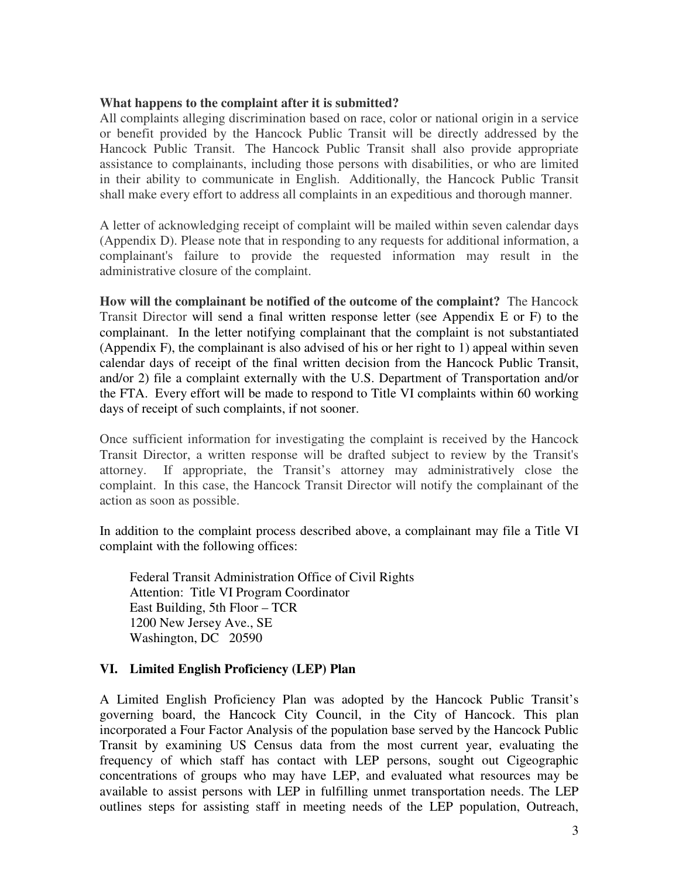#### **What happens to the complaint after it is submitted?**

All complaints alleging discrimination based on race, color or national origin in a service or benefit provided by the Hancock Public Transit will be directly addressed by the Hancock Public Transit. The Hancock Public Transit shall also provide appropriate assistance to complainants, including those persons with disabilities, or who are limited in their ability to communicate in English. Additionally, the Hancock Public Transit shall make every effort to address all complaints in an expeditious and thorough manner.

A letter of acknowledging receipt of complaint will be mailed within seven calendar days (Appendix D). Please note that in responding to any requests for additional information, a complainant's failure to provide the requested information may result in the administrative closure of the complaint.

**How will the complainant be notified of the outcome of the complaint?** The Hancock Transit Director will send a final written response letter (see Appendix E or F) to the complainant. In the letter notifying complainant that the complaint is not substantiated (Appendix F), the complainant is also advised of his or her right to 1) appeal within seven calendar days of receipt of the final written decision from the Hancock Public Transit, and/or 2) file a complaint externally with the U.S. Department of Transportation and/or the FTA. Every effort will be made to respond to Title VI complaints within 60 working days of receipt of such complaints, if not sooner.

Once sufficient information for investigating the complaint is received by the Hancock Transit Director, a written response will be drafted subject to review by the Transit's attorney. If appropriate, the Transit's attorney may administratively close the complaint. In this case, the Hancock Transit Director will notify the complainant of the action as soon as possible.

In addition to the complaint process described above, a complainant may file a Title VI complaint with the following offices:

Federal Transit Administration Office of Civil Rights Attention: Title VI Program Coordinator East Building, 5th Floor – TCR 1200 New Jersey Ave., SE Washington, DC 20590

#### **VI. Limited English Proficiency (LEP) Plan**

A Limited English Proficiency Plan was adopted by the Hancock Public Transit's governing board, the Hancock City Council, in the City of Hancock. This plan incorporated a Four Factor Analysis of the population base served by the Hancock Public Transit by examining US Census data from the most current year, evaluating the frequency of which staff has contact with LEP persons, sought out Cigeographic concentrations of groups who may have LEP, and evaluated what resources may be available to assist persons with LEP in fulfilling unmet transportation needs. The LEP outlines steps for assisting staff in meeting needs of the LEP population, Outreach,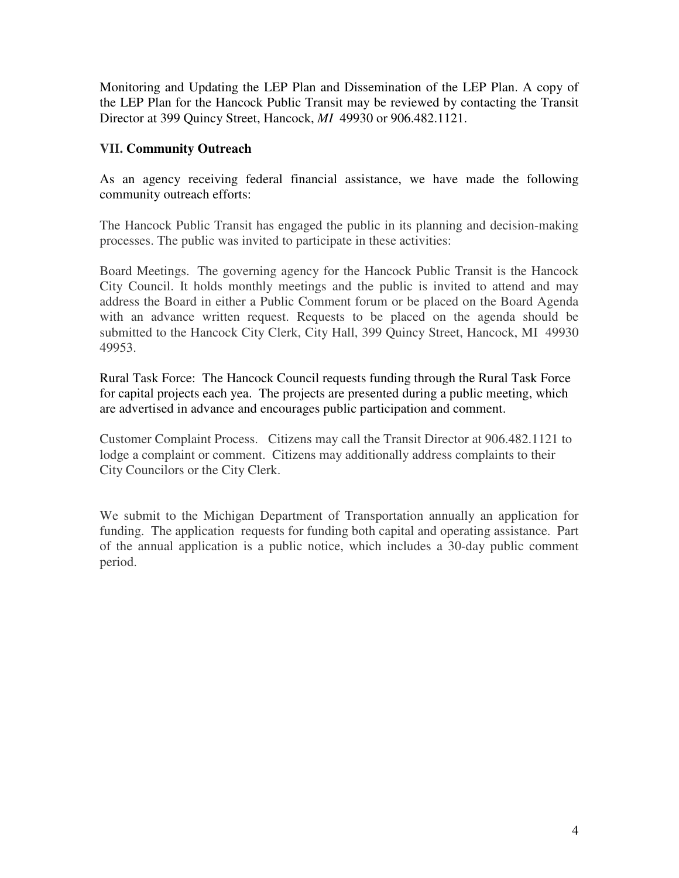Monitoring and Updating the LEP Plan and Dissemination of the LEP Plan. A copy of the LEP Plan for the Hancock Public Transit may be reviewed by contacting the Transit Director at 399 Quincy Street, Hancock, *MI* 49930 or 906.482.1121.

### **VII. Community Outreach**

As an agency receiving federal financial assistance, we have made the following community outreach efforts:

The Hancock Public Transit has engaged the public in its planning and decision-making processes. The public was invited to participate in these activities:

Board Meetings. The governing agency for the Hancock Public Transit is the Hancock City Council. It holds monthly meetings and the public is invited to attend and may address the Board in either a Public Comment forum or be placed on the Board Agenda with an advance written request. Requests to be placed on the agenda should be submitted to the Hancock City Clerk, City Hall, 399 Quincy Street, Hancock, MI 49930 49953.

Rural Task Force: The Hancock Council requests funding through the Rural Task Force for capital projects each yea. The projects are presented during a public meeting, which are advertised in advance and encourages public participation and comment.

Customer Complaint Process. Citizens may call the Transit Director at 906.482.1121 to lodge a complaint or comment. Citizens may additionally address complaints to their City Councilors or the City Clerk.

We submit to the Michigan Department of Transportation annually an application for funding. The application requests for funding both capital and operating assistance. Part of the annual application is a public notice, which includes a 30-day public comment period.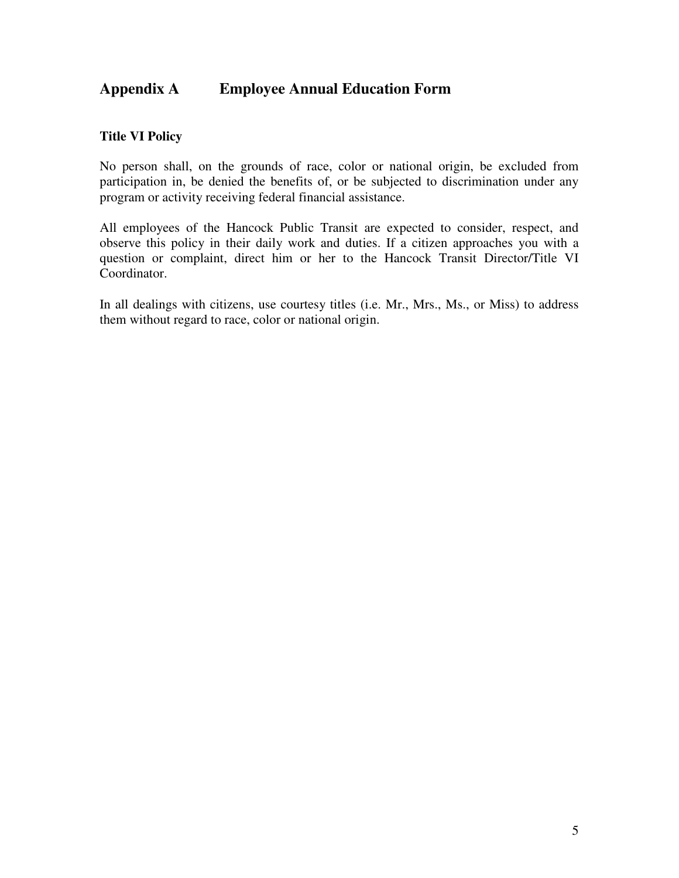## **Appendix A Employee Annual Education Form**

### **Title VI Policy**

No person shall, on the grounds of race, color or national origin, be excluded from participation in, be denied the benefits of, or be subjected to discrimination under any program or activity receiving federal financial assistance.

All employees of the Hancock Public Transit are expected to consider, respect, and observe this policy in their daily work and duties. If a citizen approaches you with a question or complaint, direct him or her to the Hancock Transit Director/Title VI Coordinator.

In all dealings with citizens, use courtesy titles (i.e. Mr., Mrs., Ms., or Miss) to address them without regard to race, color or national origin.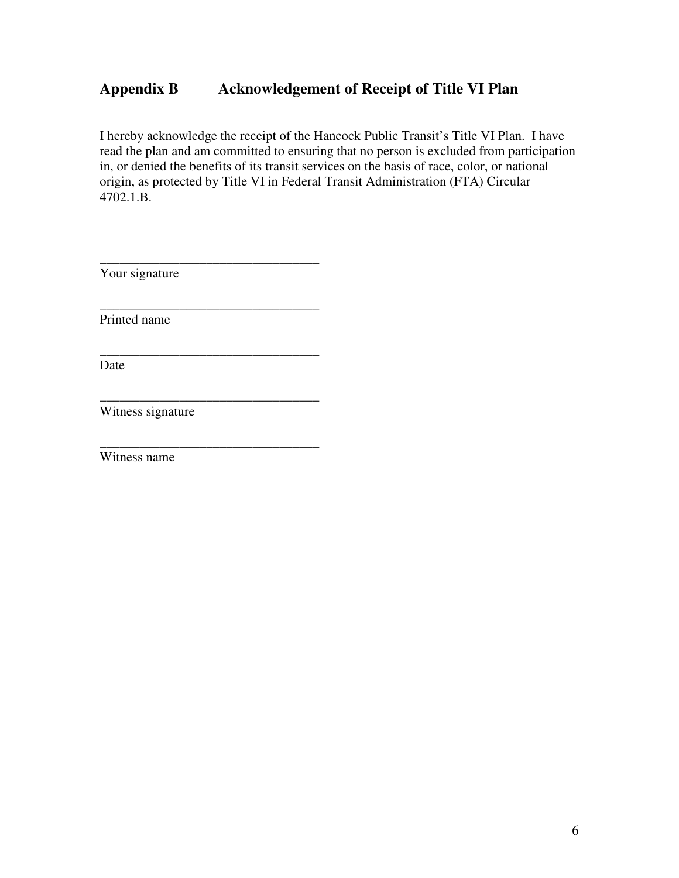## **Appendix B Acknowledgement of Receipt of Title VI Plan**

I hereby acknowledge the receipt of the Hancock Public Transit's Title VI Plan. I have read the plan and am committed to ensuring that no person is excluded from participation in, or denied the benefits of its transit services on the basis of race, color, or national origin, as protected by Title VI in Federal Transit Administration (FTA) Circular 4702.1.B.

\_\_\_\_\_\_\_\_\_\_\_\_\_\_\_\_\_\_\_\_\_\_\_\_\_\_\_\_\_\_\_\_\_ Your signature \_\_\_\_\_\_\_\_\_\_\_\_\_\_\_\_\_\_\_\_\_\_\_\_\_\_\_\_\_\_\_\_\_ Printed name \_\_\_\_\_\_\_\_\_\_\_\_\_\_\_\_\_\_\_\_\_\_\_\_\_\_\_\_\_\_\_\_\_ Date \_\_\_\_\_\_\_\_\_\_\_\_\_\_\_\_\_\_\_\_\_\_\_\_\_\_\_\_\_\_\_\_\_ Witness signature

\_\_\_\_\_\_\_\_\_\_\_\_\_\_\_\_\_\_\_\_\_\_\_\_\_\_\_\_\_\_\_\_\_

Witness name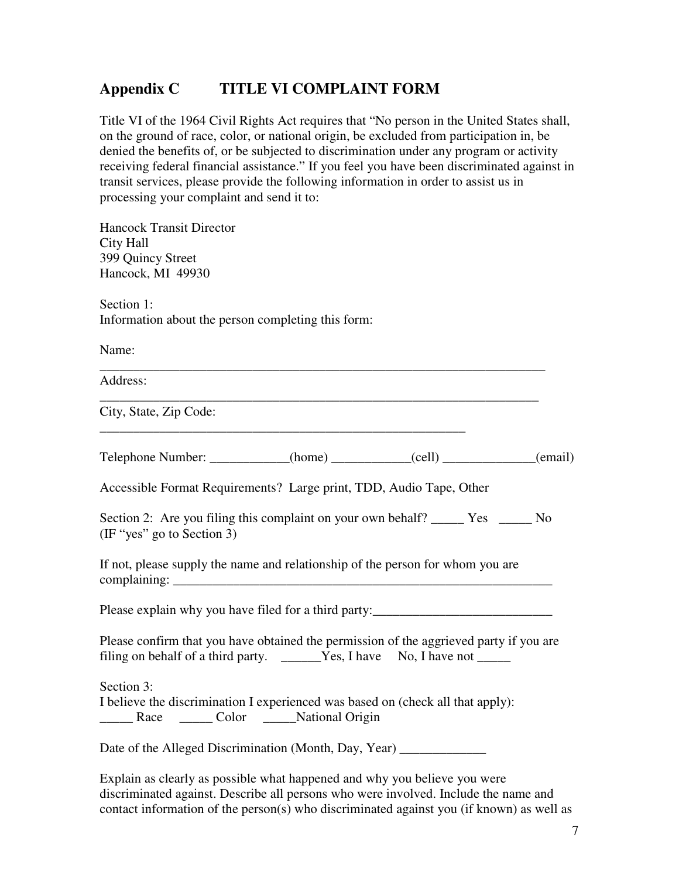## **Appendix C TITLE VI COMPLAINT FORM**

Title VI of the 1964 Civil Rights Act requires that "No person in the United States shall, on the ground of race, color, or national origin, be excluded from participation in, be denied the benefits of, or be subjected to discrimination under any program or activity receiving federal financial assistance." If you feel you have been discriminated against in transit services, please provide the following information in order to assist us in processing your complaint and send it to:

Hancock Transit Director City Hall 399 Quincy Street Hancock, MI 49930 Section 1: Information about the person completing this form: Name: \_\_\_\_\_\_\_\_\_\_\_\_\_\_\_\_\_\_\_\_\_\_\_\_\_\_\_\_\_\_\_\_\_\_\_\_\_\_\_\_\_\_\_\_\_\_\_\_\_\_\_\_\_\_\_\_\_\_\_\_\_\_\_\_\_\_\_ Address: \_\_\_\_\_\_\_\_\_\_\_\_\_\_\_\_\_\_\_\_\_\_\_\_\_\_\_\_\_\_\_\_\_\_\_\_\_\_\_\_\_\_\_\_\_\_\_\_\_\_\_\_\_\_\_\_\_\_\_\_\_\_\_\_\_\_ City, State, Zip Code: Telephone Number: \_\_\_\_\_\_\_\_\_\_\_(home) \_\_\_\_\_\_\_\_\_\_\_(cell) \_\_\_\_\_\_\_\_\_\_\_\_(email) Accessible Format Requirements? Large print, TDD, Audio Tape, Other Section 2: Are you filing this complaint on your own behalf? \_\_\_\_\_\_\_ Yes \_\_\_\_\_\_ No (IF "yes" go to Section 3) If not, please supply the name and relationship of the person for whom you are complaining: \_\_\_\_\_\_\_\_\_\_\_\_\_\_\_\_\_\_\_\_\_\_\_\_\_\_\_\_\_\_\_\_\_\_\_\_\_\_\_\_\_\_\_\_\_\_\_\_\_\_\_\_\_\_\_\_\_ Please explain why you have filed for a third party: Please confirm that you have obtained the permission of the aggrieved party if you are filing on behalf of a third party.  $\overrightarrow{Yes}$ , I have No, I have not  $\overrightarrow{L}$ Section 3: I believe the discrimination I experienced was based on (check all that apply): Lacker Lacker Color Lacker Mational Origin Date of the Alleged Discrimination (Month, Day, Year)

Explain as clearly as possible what happened and why you believe you were discriminated against. Describe all persons who were involved. Include the name and contact information of the person(s) who discriminated against you (if known) as well as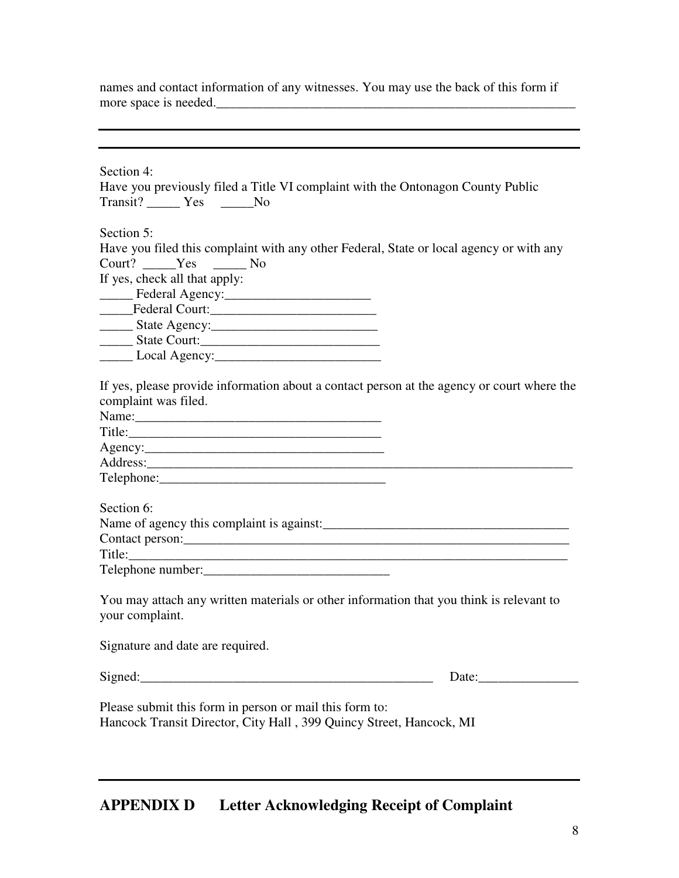names and contact information of any witnesses. You may use the back of this form if more space is needed. more space is needed.\_\_\_\_\_\_\_\_\_\_\_\_\_\_\_\_\_\_\_\_\_\_\_\_\_\_\_\_\_\_\_\_\_\_\_\_\_\_\_\_\_\_\_\_\_\_\_\_\_\_\_\_\_\_

| Section 4:                                                                                                                     |                       |
|--------------------------------------------------------------------------------------------------------------------------------|-----------------------|
| Have you previously filed a Title VI complaint with the Ontonagon County Public                                                |                       |
| Transit? _______ Yes _______No                                                                                                 |                       |
|                                                                                                                                |                       |
| Section 5:                                                                                                                     |                       |
| Have you filed this complaint with any other Federal, State or local agency or with any                                        |                       |
| Court? Yes No                                                                                                                  |                       |
| If yes, check all that apply:                                                                                                  |                       |
|                                                                                                                                |                       |
| Federal Court:                                                                                                                 |                       |
|                                                                                                                                |                       |
|                                                                                                                                |                       |
|                                                                                                                                |                       |
| If yes, please provide information about a contact person at the agency or court where the<br>complaint was filed.             |                       |
|                                                                                                                                |                       |
| Agency:                                                                                                                        |                       |
|                                                                                                                                |                       |
|                                                                                                                                |                       |
| Section 6:                                                                                                                     |                       |
|                                                                                                                                |                       |
| Contact person:                                                                                                                |                       |
|                                                                                                                                |                       |
| Telephone number:<br><u> </u>                                                                                                  |                       |
| You may attach any written materials or other information that you think is relevant to<br>your complaint.                     |                       |
| Signature and date are required.                                                                                               |                       |
| Signed:                                                                                                                        | Date: $\qquad \qquad$ |
|                                                                                                                                |                       |
| Please submit this form in person or mail this form to:<br>Hancock Transit Director, City Hall, 399 Quincy Street, Hancock, MI |                       |

Ξ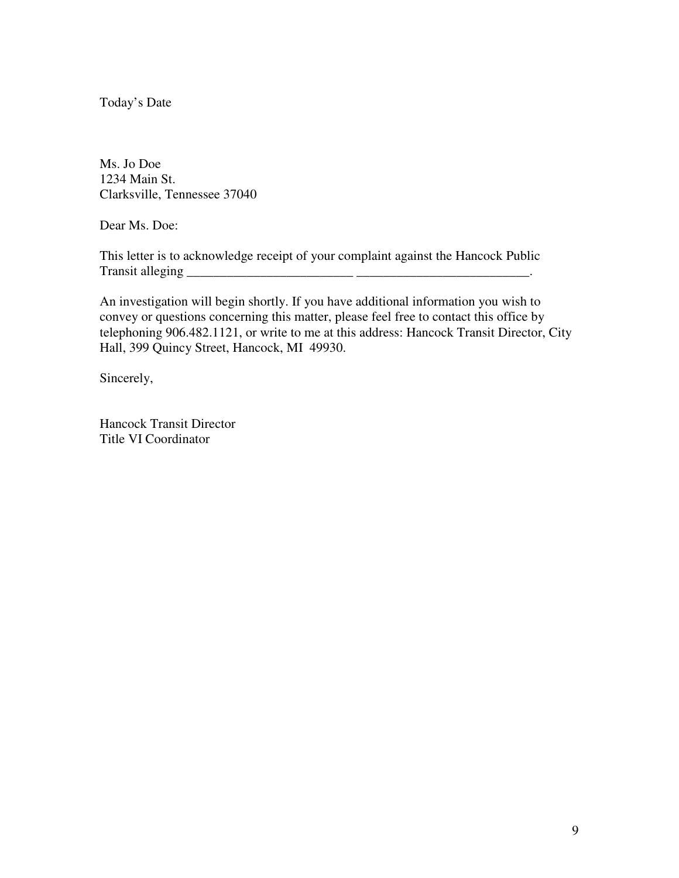Today's Date

Ms. Jo Doe 1234 Main St. Clarksville, Tennessee 37040

Dear Ms. Doe:

This letter is to acknowledge receipt of your complaint against the Hancock Public Transit alleging \_\_\_\_\_\_\_\_\_\_\_\_\_\_\_\_\_\_\_\_\_\_\_\_\_ \_\_\_\_\_\_\_\_\_\_\_\_\_\_\_\_\_\_\_\_\_\_\_\_\_\_.

An investigation will begin shortly. If you have additional information you wish to convey or questions concerning this matter, please feel free to contact this office by telephoning 906.482.1121, or write to me at this address: Hancock Transit Director, City Hall, 399 Quincy Street, Hancock, MI 49930.

Sincerely,

Hancock Transit Director Title VI Coordinator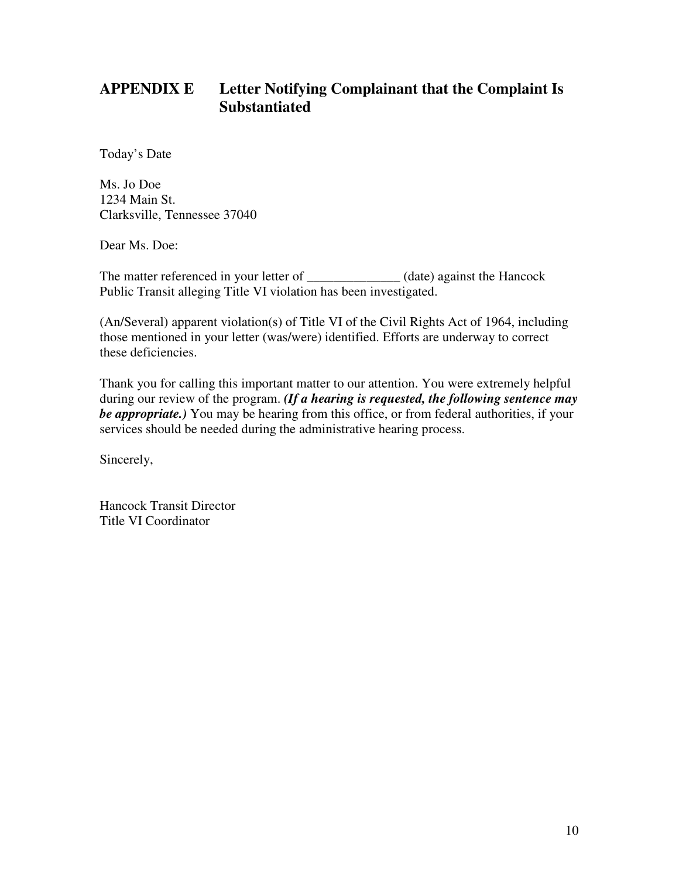# **APPENDIX E Letter Notifying Complainant that the Complaint Is Substantiated**

Today's Date

Ms. Jo Doe 1234 Main St. Clarksville, Tennessee 37040

Dear Ms. Doe:

The matter referenced in your letter of \_\_\_\_\_\_\_\_\_\_\_\_\_ (date) against the Hancock Public Transit alleging Title VI violation has been investigated.

(An/Several) apparent violation(s) of Title VI of the Civil Rights Act of 1964, including those mentioned in your letter (was/were) identified. Efforts are underway to correct these deficiencies.

Thank you for calling this important matter to our attention. You were extremely helpful during our review of the program. *(If a hearing is requested, the following sentence may be appropriate.)* You may be hearing from this office, or from federal authorities, if your services should be needed during the administrative hearing process.

Sincerely,

Hancock Transit Director Title VI Coordinator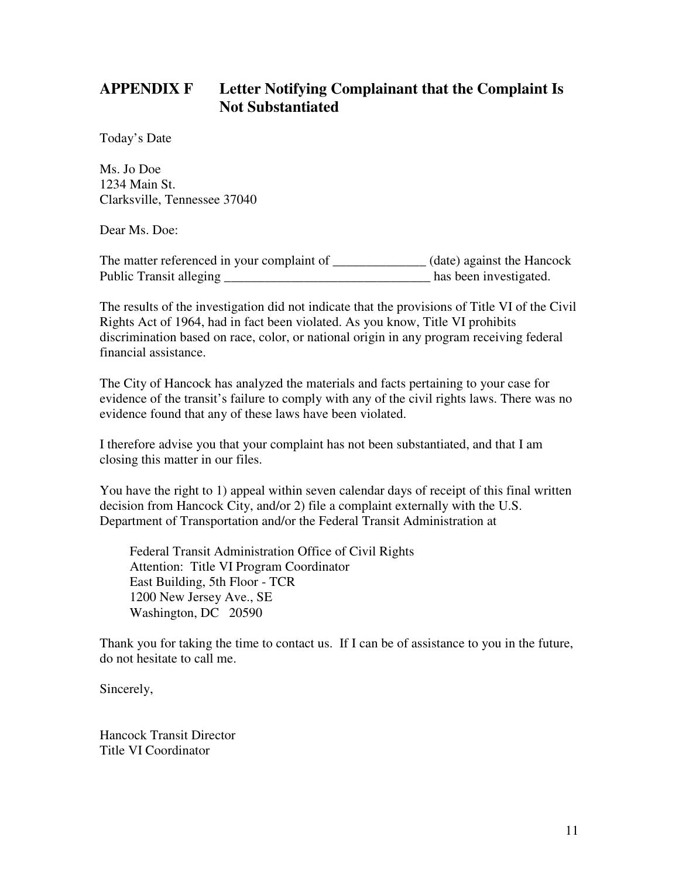# **APPENDIX F Letter Notifying Complainant that the Complaint Is Not Substantiated**

Today's Date

Ms. Jo Doe 1234 Main St. Clarksville, Tennessee 37040

Dear Ms. Doe:

The matter referenced in your complaint of \_\_\_\_\_\_\_\_\_\_\_\_\_\_\_ (date) against the Hancock Public Transit alleging \_\_\_\_\_\_\_\_\_\_\_\_\_\_\_\_\_\_\_\_\_\_\_\_\_\_\_\_\_\_\_ has been investigated.

The results of the investigation did not indicate that the provisions of Title VI of the Civil Rights Act of 1964, had in fact been violated. As you know, Title VI prohibits discrimination based on race, color, or national origin in any program receiving federal financial assistance.

The City of Hancock has analyzed the materials and facts pertaining to your case for evidence of the transit's failure to comply with any of the civil rights laws. There was no evidence found that any of these laws have been violated.

I therefore advise you that your complaint has not been substantiated, and that I am closing this matter in our files.

You have the right to 1) appeal within seven calendar days of receipt of this final written decision from Hancock City, and/or 2) file a complaint externally with the U.S. Department of Transportation and/or the Federal Transit Administration at

Federal Transit Administration Office of Civil Rights Attention: Title VI Program Coordinator East Building, 5th Floor - TCR 1200 New Jersey Ave., SE Washington, DC 20590

Thank you for taking the time to contact us. If I can be of assistance to you in the future, do not hesitate to call me.

Sincerely,

Hancock Transit Director Title VI Coordinator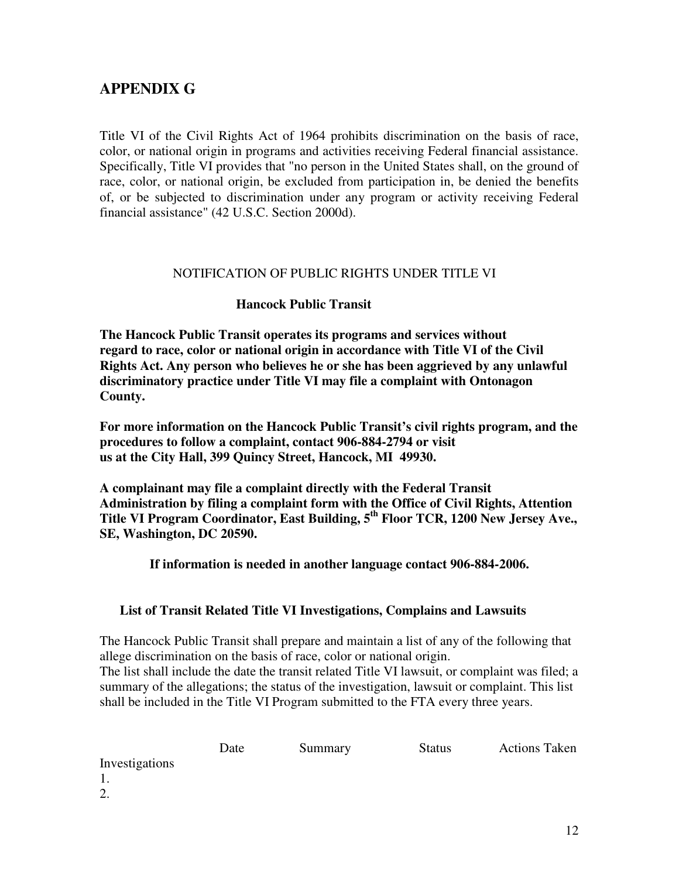# **APPENDIX G**

Title VI of the Civil Rights Act of 1964 prohibits discrimination on the basis of race, color, or national origin in programs and activities receiving Federal financial assistance. Specifically, Title VI provides that "no person in the United States shall, on the ground of race, color, or national origin, be excluded from participation in, be denied the benefits of, or be subjected to discrimination under any program or activity receiving Federal financial assistance" (42 U.S.C. Section 2000d).

#### NOTIFICATION OF PUBLIC RIGHTS UNDER TITLE VI

#### **Hancock Public Transit**

**The Hancock Public Transit operates its programs and services without regard to race, color or national origin in accordance with Title VI of the Civil Rights Act. Any person who believes he or she has been aggrieved by any unlawful discriminatory practice under Title VI may file a complaint with Ontonagon County.** 

**For more information on the Hancock Public Transit's civil rights program, and the procedures to follow a complaint, contact 906-884-2794 or visit us at the City Hall, 399 Quincy Street, Hancock, MI 49930.** 

**A complainant may file a complaint directly with the Federal Transit Administration by filing a complaint form with the Office of Civil Rights, Attention Title VI Program Coordinator, East Building, 5th Floor TCR, 1200 New Jersey Ave., SE, Washington, DC 20590.** 

 **If information is needed in another language contact 906-884-2006.** 

#### **List of Transit Related Title VI Investigations, Complains and Lawsuits**

The Hancock Public Transit shall prepare and maintain a list of any of the following that allege discrimination on the basis of race, color or national origin.

The list shall include the date the transit related Title VI lawsuit, or complaint was filed; a summary of the allegations; the status of the investigation, lawsuit or complaint. This list shall be included in the Title VI Program submitted to the FTA every three years.

|                | Date | Summary | <b>Status</b> | <b>Actions Taken</b> |
|----------------|------|---------|---------------|----------------------|
| Investigations |      |         |               |                      |
|                |      |         |               |                      |
| 2.             |      |         |               |                      |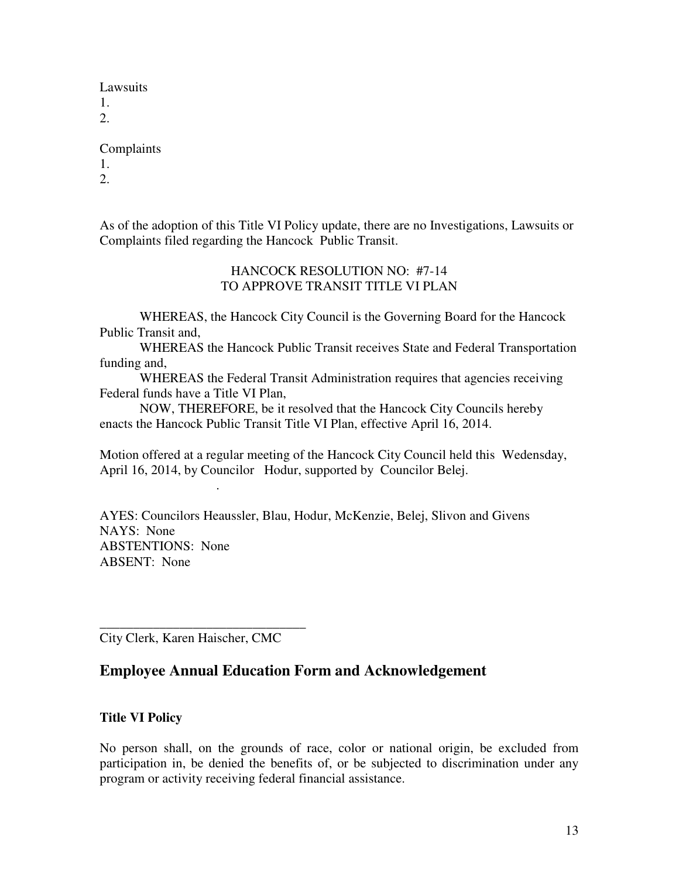Lawsuits

1.

2.

### Complaints

1.

2.

As of the adoption of this Title VI Policy update, there are no Investigations, Lawsuits or Complaints filed regarding the Hancock Public Transit.

### HANCOCK RESOLUTION NO: #7-14 TO APPROVE TRANSIT TITLE VI PLAN

 WHEREAS, the Hancock City Council is the Governing Board for the Hancock Public Transit and,

 WHEREAS the Hancock Public Transit receives State and Federal Transportation funding and,

WHEREAS the Federal Transit Administration requires that agencies receiving Federal funds have a Title VI Plan,

 NOW, THEREFORE, be it resolved that the Hancock City Councils hereby enacts the Hancock Public Transit Title VI Plan, effective April 16, 2014.

Motion offered at a regular meeting of the Hancock City Council held this Wedensday, April 16, 2014, by Councilor Hodur, supported by Councilor Belej.

AYES: Councilors Heaussler, Blau, Hodur, McKenzie, Belej, Slivon and Givens NAYS: None ABSTENTIONS: None ABSENT: None

\_\_\_\_\_\_\_\_\_\_\_\_\_\_\_\_\_\_\_\_\_\_\_\_\_\_\_\_\_\_\_ City Clerk, Karen Haischer, CMC

.

## **Employee Annual Education Form and Acknowledgement**

### **Title VI Policy**

No person shall, on the grounds of race, color or national origin, be excluded from participation in, be denied the benefits of, or be subjected to discrimination under any program or activity receiving federal financial assistance.